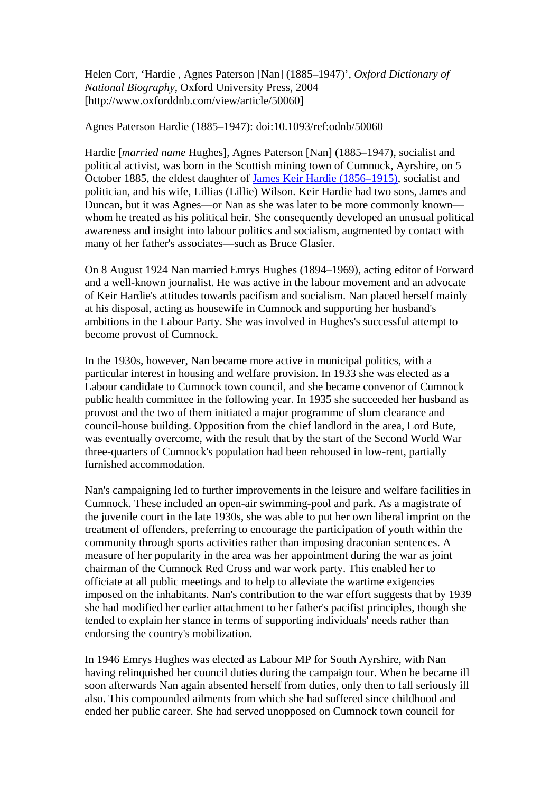Helen Corr, 'Hardie , Agnes Paterson [Nan] (1885–1947)', *Oxford Dictionary of National Biography*, Oxford University Press, 2004 [http://www.oxforddnb.com/view/article/50060]

Agnes Paterson Hardie (1885–1947): doi:10.1093/ref:odnb/50060

Hardie [*married name* Hughes], Agnes Paterson [Nan] (1885–1947), socialist and political activist, was born in the Scottish mining town of Cumnock, Ayrshire, on 5 October 1885, the eldest daughter of [James Keir Hardie \(1856–1915\),](http://www.oxforddnb.com/view/article/33696/?back=,50060) socialist and politician, and his wife, Lillias (Lillie) Wilson. Keir Hardie had two sons, James and Duncan, but it was Agnes—or Nan as she was later to be more commonly known whom he treated as his political heir. She consequently developed an unusual political awareness and insight into labour politics and socialism, augmented by contact with many of her father's associates—such as Bruce Glasier.

On 8 August 1924 Nan married Emrys Hughes (1894–1969), acting editor of Forward and a well-known journalist. He was active in the labour movement and an advocate of Keir Hardie's attitudes towards pacifism and socialism. Nan placed herself mainly at his disposal, acting as housewife in Cumnock and supporting her husband's ambitions in the Labour Party. She was involved in Hughes's successful attempt to become provost of Cumnock.

In the 1930s, however, Nan became more active in municipal politics, with a particular interest in housing and welfare provision. In 1933 she was elected as a Labour candidate to Cumnock town council, and she became convenor of Cumnock public health committee in the following year. In 1935 she succeeded her husband as provost and the two of them initiated a major programme of slum clearance and council-house building. Opposition from the chief landlord in the area, Lord Bute, was eventually overcome, with the result that by the start of the Second World War three-quarters of Cumnock's population had been rehoused in low-rent, partially furnished accommodation.

Nan's campaigning led to further improvements in the leisure and welfare facilities in Cumnock. These included an open-air swimming-pool and park. As a magistrate of the juvenile court in the late 1930s, she was able to put her own liberal imprint on the treatment of offenders, preferring to encourage the participation of youth within the community through sports activities rather than imposing draconian sentences. A measure of her popularity in the area was her appointment during the war as joint chairman of the Cumnock Red Cross and war work party. This enabled her to officiate at all public meetings and to help to alleviate the wartime exigencies imposed on the inhabitants. Nan's contribution to the war effort suggests that by 1939 she had modified her earlier attachment to her father's pacifist principles, though she tended to explain her stance in terms of supporting individuals' needs rather than endorsing the country's mobilization.

In 1946 Emrys Hughes was elected as Labour MP for South Ayrshire, with Nan having relinquished her council duties during the campaign tour. When he became ill soon afterwards Nan again absented herself from duties, only then to fall seriously ill also. This compounded ailments from which she had suffered since childhood and ended her public career. She had served unopposed on Cumnock town council for